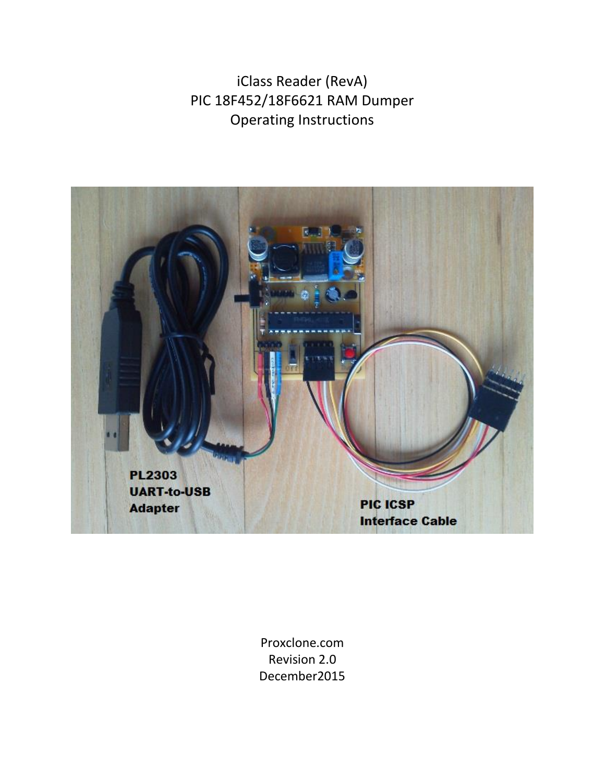iClass Reader (RevA) PIC 18F452/18F6621 RAM Dumper Operating Instructions



Proxclone.com Revision 2.0 December2015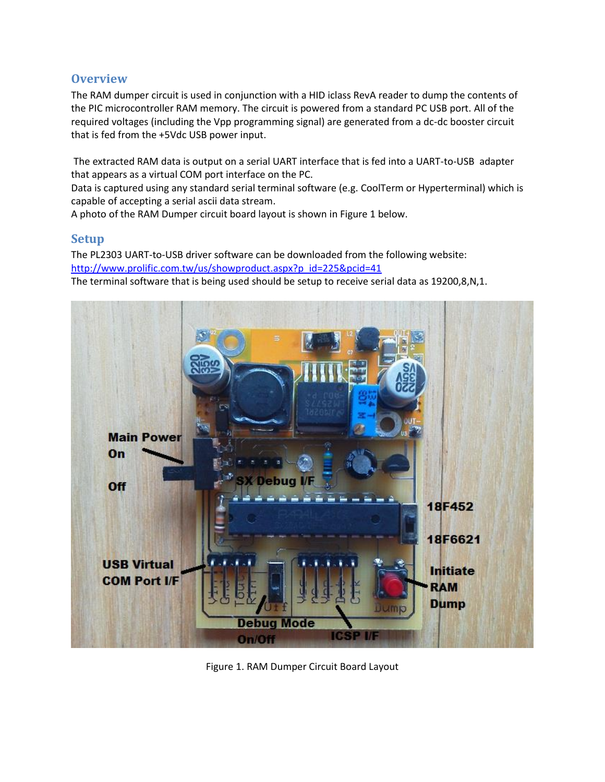# **Overview**

The RAM dumper circuit is used in conjunction with a HID iclass RevA reader to dump the contents of the PIC microcontroller RAM memory. The circuit is powered from a standard PC USB port. All of the required voltages (including the Vpp programming signal) are generated from a dc-dc booster circuit that is fed from the +5Vdc USB power input.

The extracted RAM data is output on a serial UART interface that is fed into a UART-to-USB adapter that appears as a virtual COM port interface on the PC.

Data is captured using any standard serial terminal software (e.g. CoolTerm or Hyperterminal) which is capable of accepting a serial ascii data stream.

A photo of the RAM Dumper circuit board layout is shown in Figure 1 below.

## **Setup**

The PL2303 UART-to-USB driver software can be downloaded from the following website: http://www.prolific.com.tw/us/showproduct.aspx?p\_id=225&pcid=41

The terminal software that is being used should be setup to receive serial data as 19200,8,N,1.



Figure 1. RAM Dumper Circuit Board Layout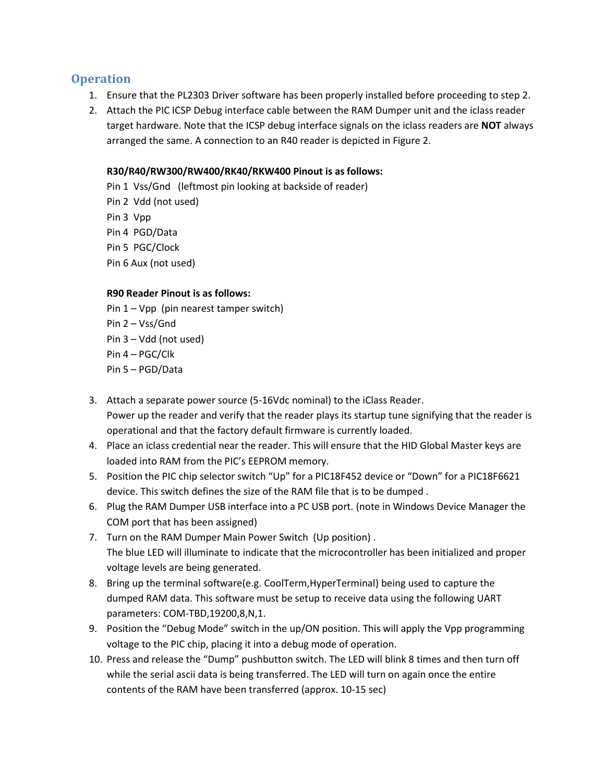# **Operation**

- 1. Ensure that the PL2303 Driver software has been properly installed before proceeding to step 2.
- 2. Attach the PIC ICSP Debug interface cable between the RAM Dumper unit and the iclass reader target hardware. Note that the ICSP debug interface signals on the iclass readers are **NOT** always arranged the same. A connection to an R40 reader is depicted in Figure 2.

### **R30/R40/RW300/RW400/RK40/RKW400 Pinout is as follows:**

Pin 1 Vss/Gnd (leftmost pin looking at backside of reader) Pin 2 Vdd (not used) Pin 3 Vpp Pin 4 PGD/Data Pin 5 PGC/Clock Pin 6 Aux (not used)

#### **R90 Reader Pinout is as follows:**

Pin 1 – Vpp (pin nearest tamper switch) Pin 2 – Vss/Gnd Pin 3 – Vdd (not used) Pin 4 – PGC/Clk Pin 5 – PGD/Data

- 3. Attach a separate power source (5-16Vdc nominal) to the iClass Reader. Power up the reader and verify that the reader plays its startup tune signifying that the reader is operational and that the factory default firmware is currently loaded.
- 4. Place an iclass credential near the reader. This will ensure that the HID Global Master keys are loaded into RAM from the PIC's EEPROM memory.
- 5. Position the PIC chip selector switch "Up" for a PIC18F452 device or "Down" for a PIC18F6621 device. This switch defines the size of the RAM file that is to be dumped .
- 6. Plug the RAM Dumper USB interface into a PC USB port. (note in Windows Device Manager the COM port that has been assigned)
- 7. Turn on the RAM Dumper Main Power Switch (Up position) . The blue LED will illuminate to indicate that the microcontroller has been initialized and proper voltage levels are being generated.
- 8. Bring up the terminal software(e.g. CoolTerm,HyperTerminal) being used to capture the dumped RAM data. This software must be setup to receive data using the following UART parameters: COM-TBD,19200,8,N,1.
- 9. Position the "Debug Mode" switch in the up/ON position. This will apply the Vpp programming voltage to the PIC chip, placing it into a debug mode of operation.
- 10. Press and release the "Dump" pushbutton switch. The LED will blink 8 times and then turn off while the serial ascii data is being transferred. The LED will turn on again once the entire contents of the RAM have been transferred (approx. 10-15 sec)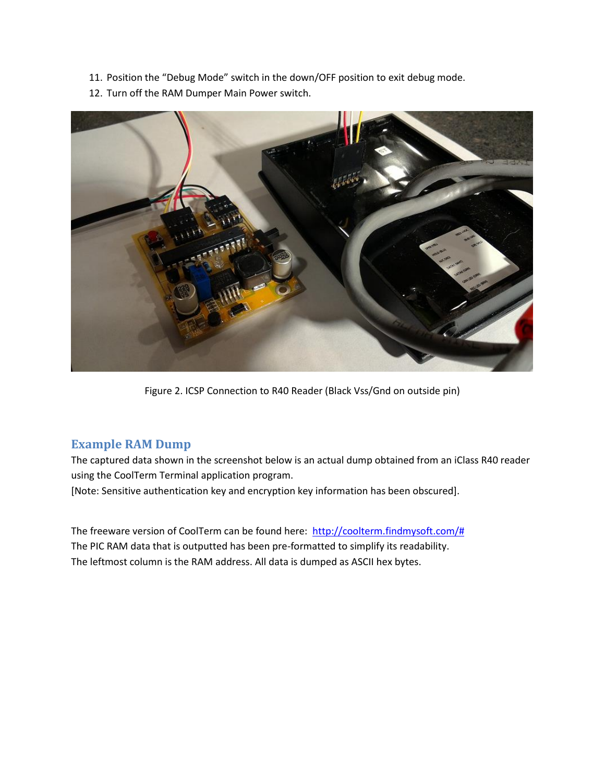- 11. Position the "Debug Mode" switch in the down/OFF position to exit debug mode.
- 12. Turn off the RAM Dumper Main Power switch.



Figure 2. ICSP Connection to R40 Reader (Black Vss/Gnd on outside pin)

## **Example RAM Dump**

The captured data shown in the screenshot below is an actual dump obtained from an iClass R40 reader using the CoolTerm Terminal application program.

[Note: Sensitive authentication key and encryption key information has been obscured].

The freeware version of CoolTerm can be found here: [http://coolterm.findmysoft.com/#](http://coolterm.findmysoft.com/%23) The PIC RAM data that is outputted has been pre-formatted to simplify its readability. The leftmost column is the RAM address. All data is dumped as ASCII hex bytes.